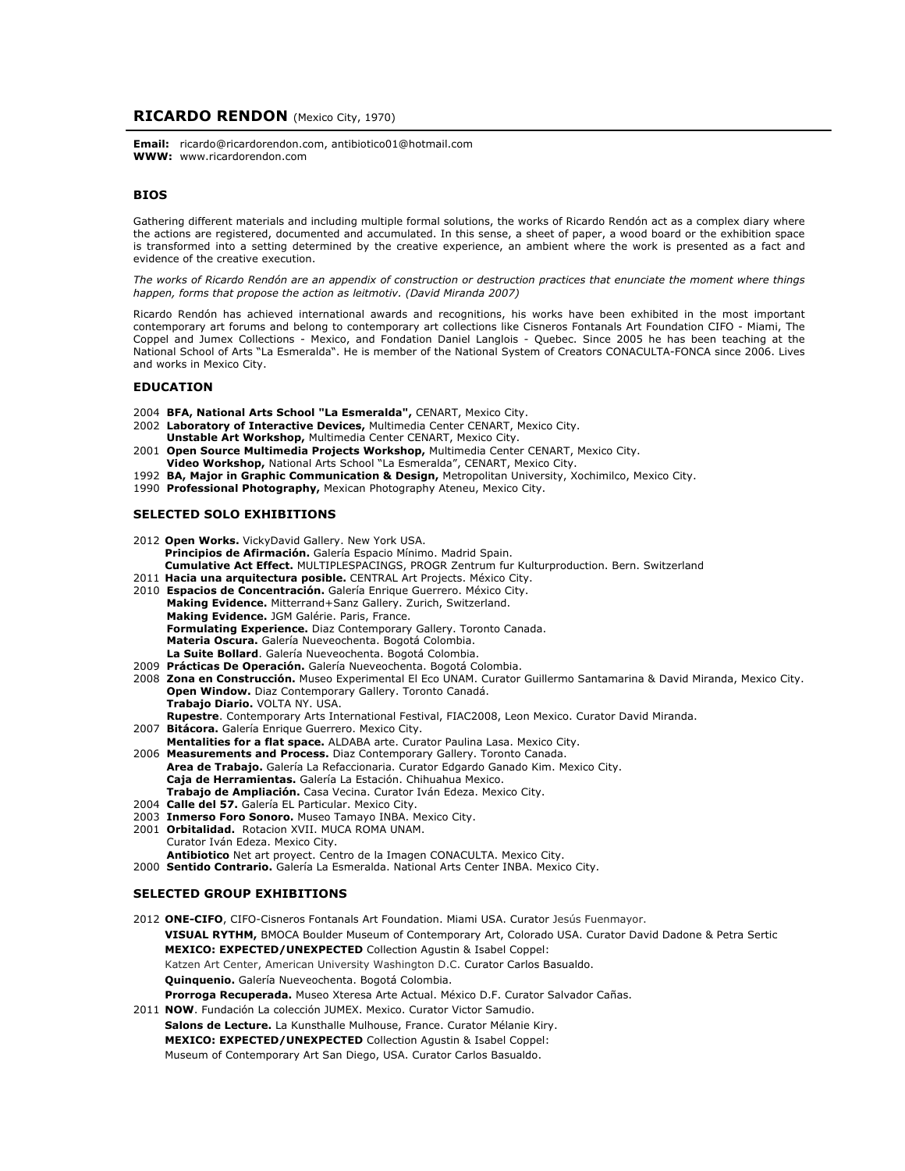## **RICARDO RENDON** (Mexico City, 1970)

**Email:** ricardo@ricardorendon.com, antibiotico01@hotmail.com **WWW:** www.ricardorendon.com

# **BIOS**

Gathering different materials and including multiple formal solutions, the works of Ricardo Rendón act as a complex diary where the actions are registered, documented and accumulated. In this sense, a sheet of paper, a wood board or the exhibition space is transformed into a setting determined by the creative experience, an ambient where the work is presented as a fact and evidence of the creative execution.

*The works of Ricardo Rendón are an appendix of construction or destruction practices that enunciate the moment where things happen, forms that propose the action as leitmotiv. (David Miranda 2007)*

Ricardo Rendón has achieved international awards and recognitions, his works have been exhibited in the most important contemporary art forums and belong to contemporary art collections like Cisneros Fontanals Art Foundation CIFO - Miami, The Coppel and Jumex Collections - Mexico, and Fondation Daniel Langlois - Quebec. Since 2005 he has been teaching at the National School of Arts "La Esmeralda". He is member of the National System of Creators CONACULTA-FONCA since 2006. Lives and works in Mexico City.

#### **EDUCATION**

- 2004 **BFA, National Arts School "La Esmeralda",** CENART, Mexico City.
- 2002 **Laboratory of Interactive Devices,** Multimedia Center CENART, Mexico City.
- **Unstable Art Workshop,** Multimedia Center CENART, Mexico City.
- 2001 **Open Source Multimedia Projects Workshop,** Multimedia Center CENART, Mexico City. **Video Workshop,** National Arts School "La Esmeralda", CENART, Mexico City.
- 1992 **BA, Major in Graphic Communication & Design,** Metropolitan University, Xochimilco, Mexico City.
- 1990 **Professional Photography,** Mexican Photography Ateneu, Mexico City.

## **SELECTED SOLO EXHIBITIONS**

- 2012 **Open Works.** VickyDavid Gallery. New York USA. **Principios de Afirmación.** Galería Espacio Mínimo. Madrid Spain. **Cumulative Act Effect.** MULTIPLESPACINGS, PROGR Zentrum fur Kulturproduction. Bern. Switzerland 2011 **Hacia una arquitectura posible.** CENTRAL Art Projects. México City.
- 
- 2010 **Espacios de Concentración.** Galería Enrique Guerrero. México City. **Making Evidence.** Mitterrand+Sanz Gallery. Zurich, Switzerland. **Making Evidence.** JGM Galérie. Paris, France. **Formulating Experience.** Diaz Contemporary Gallery. Toronto Canada. **Materia Oscura.** Galería Nueveochenta. Bogotá Colombia. **La Suite Bollard**. Galería Nueveochenta. Bogotá Colombia.
- 2009 **Prácticas De Operación.** Galería Nueveochenta. Bogotá Colombia.
- 2008 **Zona en Construcción.** Museo Experimental El Eco UNAM. Curator Guillermo Santamarina & David Miranda, Mexico City. **Open Window.** Diaz Contemporary Gallery. Toronto Canadá. **Trabajo Diario.** VOLTA NY. USA. **Rupestre**. Contemporary Arts International Festival, FIAC2008, Leon Mexico. Curator David Miranda.
- 2007 **Bitácora.** Galería Enrique Guerrero. Mexico City.
- **Mentalities for a flat space.** ALDABA arte. Curator Paulina Lasa. Mexico City. 2006 **Measurements and Process.** Diaz Contemporary Gallery. Toronto Canada. **Area de Trabajo.** Galería La Refaccionaria. Curator Edgardo Ganado Kim. Mexico City. **Caja de Herramientas.** Galería La Estación. Chihuahua Mexico.
- **Trabajo de Ampliación.** Casa Vecina. Curator Iván Edeza. Mexico City.
- 2004 **Calle del 57.** Galería EL Particular. Mexico City.
- 2003 **Inmerso Foro Sonoro.** Museo Tamayo INBA. Mexico City.
- 2001 **Orbitalidad.** Rotacion XVII. MUCA ROMA UNAM. Curator Iván Edeza. Mexico City. **Antibiotico** Net art proyect. Centro de la Imagen CONACULTA. Mexico City.
- 2000 **Sentido Contrario.** Galería La Esmeralda. National Arts Center INBA. Mexico City.

#### **SELECTED GROUP EXHIBITIONS**

- 2012 **ONE-CIFO**, CIFO-Cisneros Fontanals Art Foundation. Miami USA. Curator Jesús Fuenmayor. **VISUAL RYTHM,** BMOCA Boulder Museum of Contemporary Art, Colorado USA. Curator David Dadone & Petra Sertic **MEXICO: EXPECTED/UNEXPECTED** Collection Agustin & Isabel Coppel: Katzen Art Center, American University Washington D.C. Curator Carlos Basualdo. **Quinquenio.** Galería Nueveochenta. Bogotá Colombia. **Prorroga Recuperada.** Museo Xteresa Arte Actual. México D.F. Curator Salvador Cañas.
- 2011 **NOW**. Fundación La colección JUMEX. Mexico. Curator Victor Samudio. **Salons de Lecture.** La Kunsthalle Mulhouse, France. Curator Mélanie Kiry. **MEXICO: EXPECTED/UNEXPECTED** Collection Agustin & Isabel Coppel: Museum of Contemporary Art San Diego, USA. Curator Carlos Basualdo.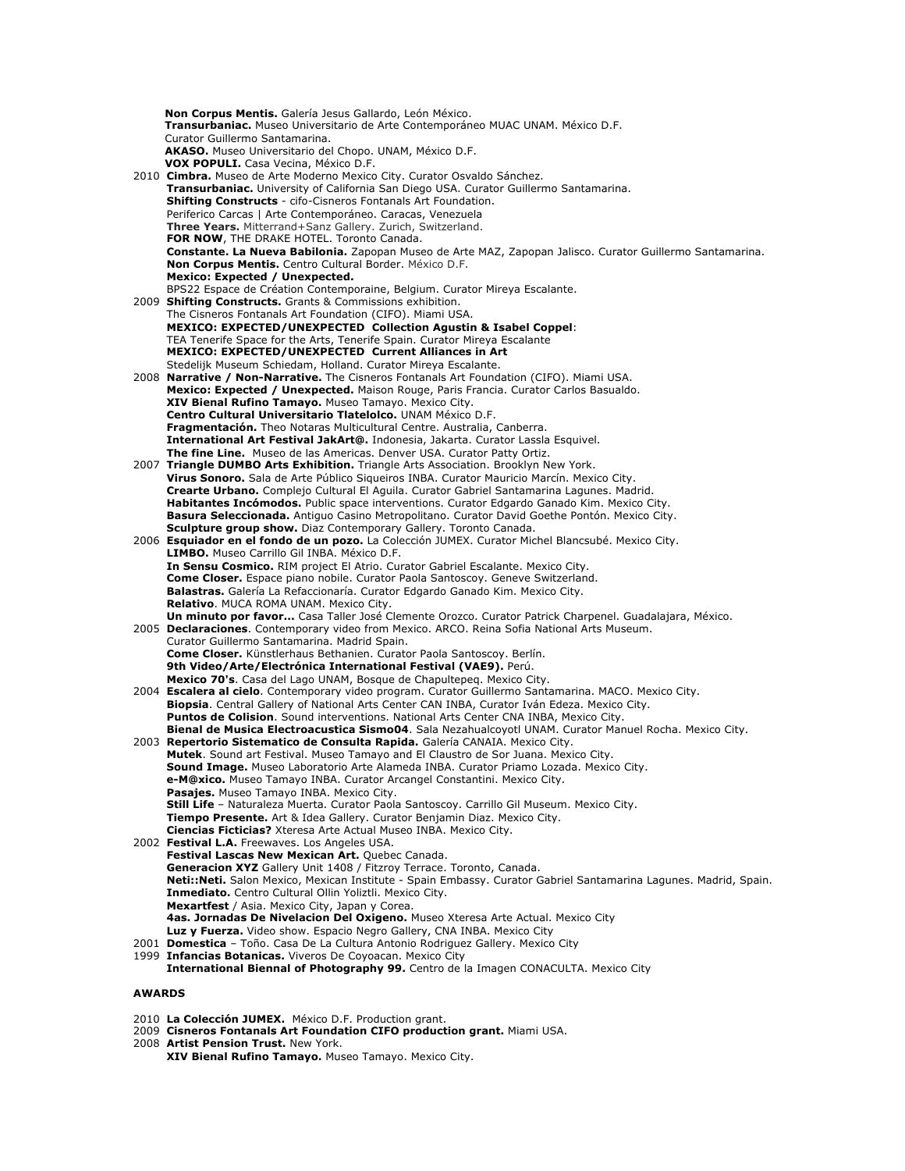**Non Corpus Mentis.** Galería Jesus Gallardo, León México. **Transurbaniac.** Museo Universitario de Arte Contemporáneo MUAC UNAM. México D.F. Curator Guillermo Santamarina. **AKASO.** Museo Universitario del Chopo. UNAM, México D.F. **VOX POPULI.** Casa Vecina, México D.F. 2010 **Cimbra.** Museo de Arte Moderno Mexico City. Curator Osvaldo Sánchez. **Transurbaniac.** University of California San Diego USA. Curator Guillermo Santamarina. **Shifting Constructs** - cifo-Cisneros Fontanals Art Foundation. Periferico Carcas | Arte Contemporáneo. Caracas, Venezuela **Three Years.** Mitterrand+Sanz Gallery. Zurich, Switzerland. **FOR NOW**, THE DRAKE HOTEL. Toronto Canada. **Constante. La Nueva Babilonia.** Zapopan Museo de Arte MAZ, Zapopan Jalisco. Curator Guillermo Santamarina. **Non Corpus Mentis.** Centro Cultural Border. México D.F. **Mexico: Expected / Unexpected.**  BPS22 Espace de Création Contemporaine, Belgium. Curator Mireya Escalante. 2009 **Shifting Constructs.** Grants & Commissions exhibition. The Cisneros Fontanals Art Foundation (CIFO). Miami USA. **MEXICO: EXPECTED/UNEXPECTED Collection Agustin & Isabel Coppel**: TEA Tenerife Space for the Arts, Tenerife Spain. Curator Mireya Escalante **MEXICO: EXPECTED/UNEXPECTED Current Alliances in Art** Stedelijk Museum Schiedam, Holland. Curator Mireya Escalante. 2008 **Narrative / Non-Narrative.** The Cisneros Fontanals Art Foundation (CIFO). Miami USA. **Mexico: Expected / Unexpected.** Maison Rouge, Paris Francia. Curator Carlos Basualdo. **XIV Bienal Rufino Tamayo.** Museo Tamayo. Mexico City. **Centro Cultural Universitario Tlatelolco.** UNAM México D.F. **Fragmentación.** Theo Notaras Multicultural Centre. Australia, Canberra. **International Art Festival JakArt@.** Indonesia, Jakarta. Curator Lassla Esquivel. **The fine Line.** Museo de las Americas. Denver USA. Curator Patty Ortiz. 2007 **Triangle DUMBO Arts Exhibition.** Triangle Arts Association. Brooklyn New York. **Virus Sonoro.** Sala de Arte Público Siqueiros INBA. Curator Mauricio Marcín. Mexico City. **Crearte Urbano.** Complejo Cultural El Aguila. Curator Gabriel Santamarina Lagunes. Madrid. **Habitantes Incómodos.** Public space interventions. Curator Edgardo Ganado Kim. Mexico City. **Basura Seleccionada.** Antiguo Casino Metropolitano. Curator David Goethe Pontón. Mexico City. **Sculpture group show.** Diaz Contemporary Gallery. Toronto Canada. 2006 **Esquiador en el fondo de un pozo.** La Colección JUMEX. Curator Michel Blancsubé. Mexico City. **LIMBO.** Museo Carrillo Gil INBA. México D.F. **In Sensu Cosmico.** RIM project El Atrio. Curator Gabriel Escalante. Mexico City. **Come Closer.** Espace piano nobile. Curator Paola Santoscoy. Geneve Switzerland. **Balastras.** Galería La Refaccionaría. Curator Edgardo Ganado Kim. Mexico City. **Relativo**. MUCA ROMA UNAM. Mexico City. **Un minuto por favor...** Casa Taller José Clemente Orozco. Curator Patrick Charpenel. Guadalajara, México. 2005 **Declaraciones**. Contemporary video from Mexico. ARCO. Reina Sofia National Arts Museum. Curator Guillermo Santamarina. Madrid Spain. **Come Closer.** Künstlerhaus Bethanien. Curator Paola Santoscoy. Berlín. **9th Video/Arte/Electrónica International Festival (VAE9).** Perú. **Mexico 70's**. Casa del Lago UNAM, Bosque de Chapultepeq. Mexico City. 2004 **Escalera al cielo**. Contemporary video program. Curator Guillermo Santamarina. MACO. Mexico City. **Biopsia**. Central Gallery of National Arts Center CAN INBA, Curator Iván Edeza. Mexico City. **Puntos de Colision**. Sound interventions. National Arts Center CNA INBA, Mexico City. **Bienal de Musica Electroacustica Sismo04**. Sala Nezahualcoyotl UNAM. Curator Manuel Rocha. Mexico City. 2003 **Repertorio Sistematico de Consulta Rapida.** Galería CANAIA. Mexico City. **Mutek**. Sound art Festival. Museo Tamayo and El Claustro de Sor Juana. Mexico City. **Sound Image.** Museo Laboratorio Arte Alameda INBA. Curator Priamo Lozada. Mexico City. **e-M@xico.** Museo Tamayo INBA. Curator Arcangel Constantini. Mexico City. **Pasajes.** Museo Tamayo INBA. Mexico City. **Still Life** – Naturaleza Muerta. Curator Paola Santoscoy. Carrillo Gil Museum. Mexico City. **Tiempo Presente.** Art & Idea Gallery. Curator Benjamin Diaz. Mexico City. **Ciencias Ficticias?** Xteresa Arte Actual Museo INBA. Mexico City. 2002 **Festival L.A.** Freewaves. Los Angeles USA. **Festival Lascas New Mexican Art.** Quebec Canada. **Generacion XYZ** Gallery Unit 1408 / Fitzroy Terrace. Toronto, Canada. **Neti::Neti.** Salon Mexico, Mexican Institute - Spain Embassy. Curator Gabriel Santamarina Lagunes. Madrid, Spain. **Inmediato.** Centro Cultural Ollin Yoliztli. Mexico City. **Mexartfest** / Asia. Mexico City, Japan y Corea. **4as. Jornadas De Nivelacion Del Oxigeno.** Museo Xteresa Arte Actual. Mexico City **Luz y Fuerza.** Video show. Espacio Negro Gallery, CNA INBA. Mexico City 2001 **Domestica** – Toño. Casa De La Cultura Antonio Rodriguez Gallery. Mexico City 1999 **Infancias Botanicas.** Viveros De Coyoacan. Mexico City **International Biennal of Photography 99.** Centro de la Imagen CONACULTA. Mexico City **AWARDS** 

- 2010 **La Colección JUMEX.** México D.F. Production grant.
- 2009 **Cisneros Fontanals Art Foundation CIFO production grant.** Miami USA.
- 2008 **Artist Pension Trust.** New York.
	- **XIV Bienal Rufino Tamayo.** Museo Tamayo. Mexico City.